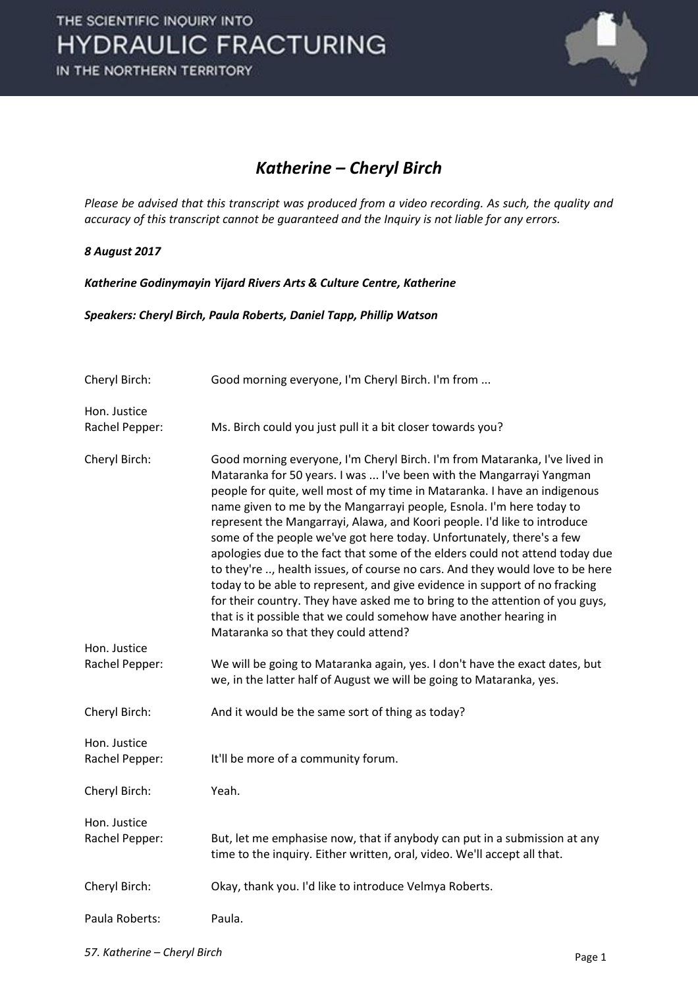

#### *Katherine – Cheryl Birch*

*Please be advised that this transcript was produced from a video recording. As such, the quality and accuracy of this transcript cannot be guaranteed and the Inquiry is not liable for any errors.*

#### *8 August 2017*

*Katherine Godinymayin Yijard Rivers Arts & Culture Centre, Katherine*

*Speakers: Cheryl Birch, Paula Roberts, Daniel Tapp, Phillip Watson*

| Cheryl Birch:                  | Good morning everyone, I'm Cheryl Birch. I'm from                                                                                                                                                                                                                                                                                                                                                                                                                                                                                                                                                                                                                                                                                                                                                                                                                                                        |
|--------------------------------|----------------------------------------------------------------------------------------------------------------------------------------------------------------------------------------------------------------------------------------------------------------------------------------------------------------------------------------------------------------------------------------------------------------------------------------------------------------------------------------------------------------------------------------------------------------------------------------------------------------------------------------------------------------------------------------------------------------------------------------------------------------------------------------------------------------------------------------------------------------------------------------------------------|
| Hon. Justice<br>Rachel Pepper: | Ms. Birch could you just pull it a bit closer towards you?                                                                                                                                                                                                                                                                                                                                                                                                                                                                                                                                                                                                                                                                                                                                                                                                                                               |
| Cheryl Birch:<br>Hon. Justice  | Good morning everyone, I'm Cheryl Birch. I'm from Mataranka, I've lived in<br>Mataranka for 50 years. I was  I've been with the Mangarrayi Yangman<br>people for quite, well most of my time in Mataranka. I have an indigenous<br>name given to me by the Mangarrayi people, Esnola. I'm here today to<br>represent the Mangarrayi, Alawa, and Koori people. I'd like to introduce<br>some of the people we've got here today. Unfortunately, there's a few<br>apologies due to the fact that some of the elders could not attend today due<br>to they're , health issues, of course no cars. And they would love to be here<br>today to be able to represent, and give evidence in support of no fracking<br>for their country. They have asked me to bring to the attention of you guys,<br>that is it possible that we could somehow have another hearing in<br>Mataranka so that they could attend? |
| Rachel Pepper:                 | We will be going to Mataranka again, yes. I don't have the exact dates, but<br>we, in the latter half of August we will be going to Mataranka, yes.                                                                                                                                                                                                                                                                                                                                                                                                                                                                                                                                                                                                                                                                                                                                                      |
| Cheryl Birch:                  | And it would be the same sort of thing as today?                                                                                                                                                                                                                                                                                                                                                                                                                                                                                                                                                                                                                                                                                                                                                                                                                                                         |
| Hon. Justice<br>Rachel Pepper: | It'll be more of a community forum.                                                                                                                                                                                                                                                                                                                                                                                                                                                                                                                                                                                                                                                                                                                                                                                                                                                                      |
| Cheryl Birch:                  | Yeah.                                                                                                                                                                                                                                                                                                                                                                                                                                                                                                                                                                                                                                                                                                                                                                                                                                                                                                    |
| Hon. Justice<br>Rachel Pepper: | But, let me emphasise now, that if anybody can put in a submission at any<br>time to the inquiry. Either written, oral, video. We'll accept all that.                                                                                                                                                                                                                                                                                                                                                                                                                                                                                                                                                                                                                                                                                                                                                    |
| Cheryl Birch:                  | Okay, thank you. I'd like to introduce Velmya Roberts.                                                                                                                                                                                                                                                                                                                                                                                                                                                                                                                                                                                                                                                                                                                                                                                                                                                   |
| Paula Roberts:                 | Paula.                                                                                                                                                                                                                                                                                                                                                                                                                                                                                                                                                                                                                                                                                                                                                                                                                                                                                                   |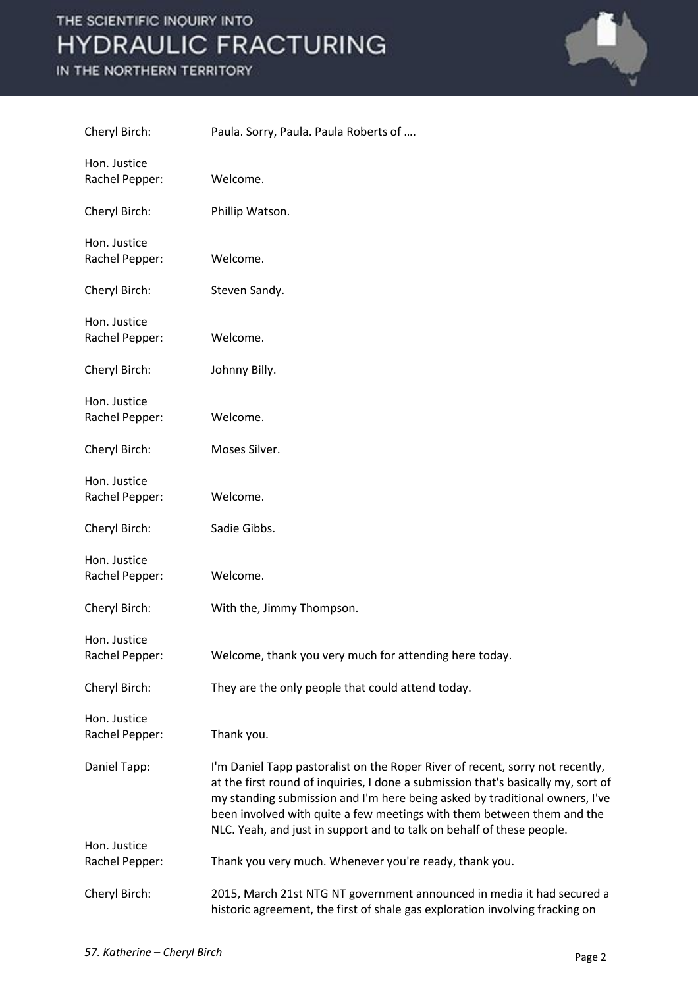

| Cheryl Birch:                  | Paula. Sorry, Paula. Paula Roberts of                                                                                                                                                                                                                                                                                                                                                                |
|--------------------------------|------------------------------------------------------------------------------------------------------------------------------------------------------------------------------------------------------------------------------------------------------------------------------------------------------------------------------------------------------------------------------------------------------|
| Hon. Justice<br>Rachel Pepper: | Welcome.                                                                                                                                                                                                                                                                                                                                                                                             |
| Cheryl Birch:                  | Phillip Watson.                                                                                                                                                                                                                                                                                                                                                                                      |
| Hon. Justice<br>Rachel Pepper: | Welcome.                                                                                                                                                                                                                                                                                                                                                                                             |
| Cheryl Birch:                  | Steven Sandy.                                                                                                                                                                                                                                                                                                                                                                                        |
| Hon. Justice<br>Rachel Pepper: | Welcome.                                                                                                                                                                                                                                                                                                                                                                                             |
| Cheryl Birch:                  | Johnny Billy.                                                                                                                                                                                                                                                                                                                                                                                        |
| Hon. Justice<br>Rachel Pepper: | Welcome.                                                                                                                                                                                                                                                                                                                                                                                             |
| Cheryl Birch:                  | Moses Silver.                                                                                                                                                                                                                                                                                                                                                                                        |
| Hon. Justice<br>Rachel Pepper: | Welcome.                                                                                                                                                                                                                                                                                                                                                                                             |
| Cheryl Birch:                  | Sadie Gibbs.                                                                                                                                                                                                                                                                                                                                                                                         |
| Hon. Justice<br>Rachel Pepper: | Welcome.                                                                                                                                                                                                                                                                                                                                                                                             |
| Cheryl Birch:                  | With the, Jimmy Thompson.                                                                                                                                                                                                                                                                                                                                                                            |
| Hon. Justice<br>Rachel Pepper: | Welcome, thank you very much for attending here today.                                                                                                                                                                                                                                                                                                                                               |
| Cheryl Birch:                  | They are the only people that could attend today.                                                                                                                                                                                                                                                                                                                                                    |
| Hon. Justice<br>Rachel Pepper: | Thank you.                                                                                                                                                                                                                                                                                                                                                                                           |
| Daniel Tapp:                   | I'm Daniel Tapp pastoralist on the Roper River of recent, sorry not recently,<br>at the first round of inquiries, I done a submission that's basically my, sort of<br>my standing submission and I'm here being asked by traditional owners, I've<br>been involved with quite a few meetings with them between them and the<br>NLC. Yeah, and just in support and to talk on behalf of these people. |
| Hon. Justice<br>Rachel Pepper: | Thank you very much. Whenever you're ready, thank you.                                                                                                                                                                                                                                                                                                                                               |
| Cheryl Birch:                  | 2015, March 21st NTG NT government announced in media it had secured a<br>historic agreement, the first of shale gas exploration involving fracking on                                                                                                                                                                                                                                               |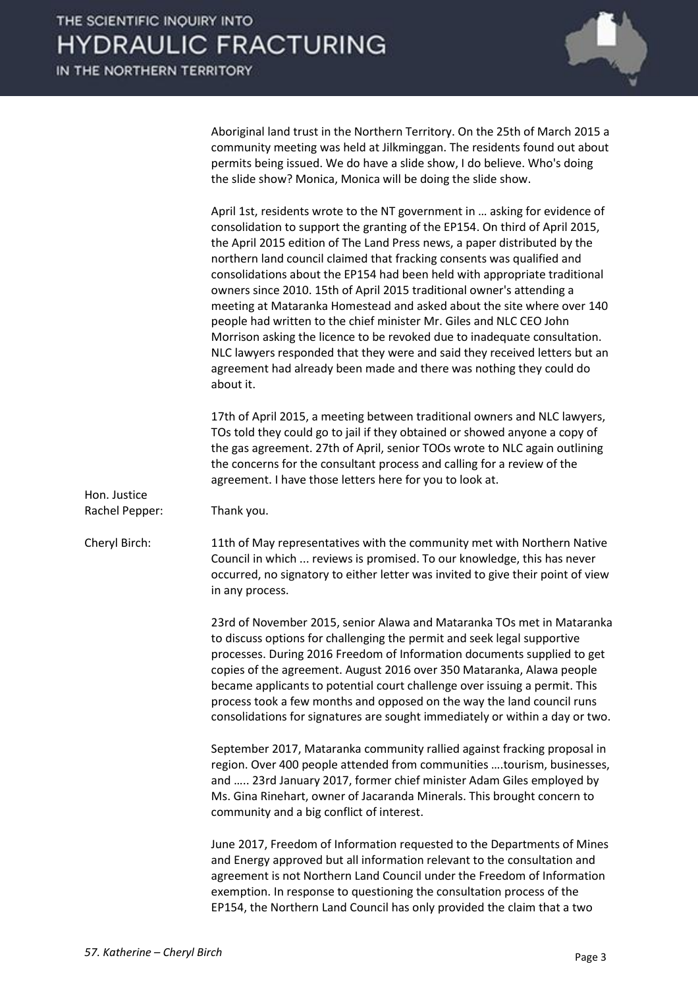

Aboriginal land trust in the Northern Territory. On the 25th of March 2015 a community meeting was held at Jilkminggan. The residents found out about permits being issued. We do have a slide show, I do believe. Who's doing the slide show? Monica, Monica will be doing the slide show.

April 1st, residents wrote to the NT government in … asking for evidence of consolidation to support the granting of the EP154. On third of April 2015, the April 2015 edition of The Land Press news, a paper distributed by the northern land council claimed that fracking consents was qualified and consolidations about the EP154 had been held with appropriate traditional owners since 2010. 15th of April 2015 traditional owner's attending a meeting at Mataranka Homestead and asked about the site where over 140 people had written to the chief minister Mr. Giles and NLC CEO John Morrison asking the licence to be revoked due to inadequate consultation. NLC lawyers responded that they were and said they received letters but an agreement had already been made and there was nothing they could do about it.

17th of April 2015, a meeting between traditional owners and NLC lawyers, TOs told they could go to jail if they obtained or showed anyone a copy of the gas agreement. 27th of April, senior TOOs wrote to NLC again outlining the concerns for the consultant process and calling for a review of the agreement. I have those letters here for you to look at.

Rachel Pepper: Thank you.

Hon. Justice

Cheryl Birch: 11th of May representatives with the community met with Northern Native Council in which ... reviews is promised. To our knowledge, this has never occurred, no signatory to either letter was invited to give their point of view in any process.

> 23rd of November 2015, senior Alawa and Mataranka TOs met in Mataranka to discuss options for challenging the permit and seek legal supportive processes. During 2016 Freedom of Information documents supplied to get copies of the agreement. August 2016 over 350 Mataranka, Alawa people became applicants to potential court challenge over issuing a permit. This process took a few months and opposed on the way the land council runs consolidations for signatures are sought immediately or within a day or two.

> September 2017, Mataranka community rallied against fracking proposal in region. Over 400 people attended from communities ….tourism, businesses, and ….. 23rd January 2017, former chief minister Adam Giles employed by Ms. Gina Rinehart, owner of Jacaranda Minerals. This brought concern to community and a big conflict of interest.

> June 2017, Freedom of Information requested to the Departments of Mines and Energy approved but all information relevant to the consultation and agreement is not Northern Land Council under the Freedom of Information exemption. In response to questioning the consultation process of the EP154, the Northern Land Council has only provided the claim that a two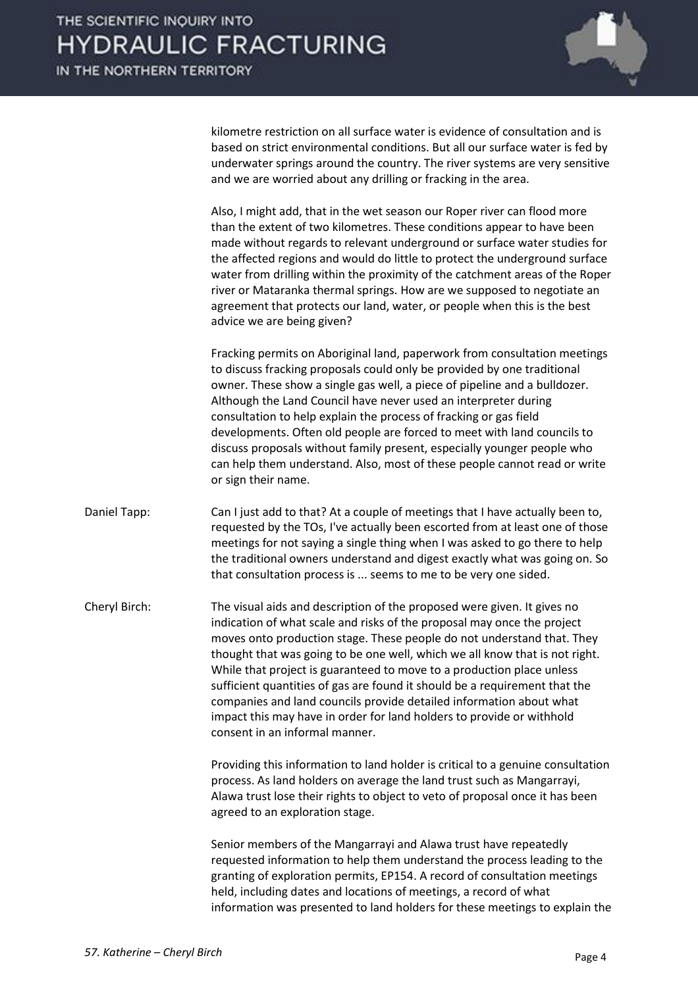

kilometre restriction on all surface water is evidence of consultation and is based on strict environmental conditions. But all our surface water is fed by underwater springs around the country. The river systems are very sensitive and we are worried about any drilling or fracking in the area.

Also, I might add, that in the wet season our Roper river can flood more than the extent of two kilometres. These conditions appear to have been made without regards to relevant underground or surface water studies for the affected regions and would do little to protect the underground surface water from drilling within the proximity of the catchment areas of the Roper river or Mataranka thermal springs. How are we supposed to negotiate an agreement that protects our land, water, or people when this is the best advice we are being given?

Fracking permits on Aboriginal land, paperwork from consultation meetings to discuss fracking proposals could only be provided by one traditional owner. These show a single gas well, a piece of pipeline and a bulldozer. Although the Land Council have never used an interpreter during consultation to help explain the process of fracking or gas field developments. Often old people are forced to meet with land councils to discuss proposals without family present, especially younger people who can help them understand. Also, most of these people cannot read or write or sign their name.

- Daniel Tapp: Can I just add to that? At a couple of meetings that I have actually been to, requested by the TOs, I've actually been escorted from at least one of those meetings for not saying a single thing when I was asked to go there to help the traditional owners understand and digest exactly what was going on. So that consultation process is ... seems to me to be very one sided.
- Cheryl Birch: The visual aids and description of the proposed were given. It gives no indication of what scale and risks of the proposal may once the project moves onto production stage. These people do not understand that. They thought that was going to be one well, which we all know that is not right. While that project is guaranteed to move to a production place unless sufficient quantities of gas are found it should be a requirement that the companies and land councils provide detailed information about what impact this may have in order for land holders to provide or withhold consent in an informal manner.

Providing this information to land holder is critical to a genuine consultation process. As land holders on average the land trust such as Mangarrayi, Alawa trust lose their rights to object to veto of proposal once it has been agreed to an exploration stage.

Senior members of the Mangarrayi and Alawa trust have repeatedly requested information to help them understand the process leading to the granting of exploration permits, EP154. A record of consultation meetings held, including dates and locations of meetings, a record of what information was presented to land holders for these meetings to explain the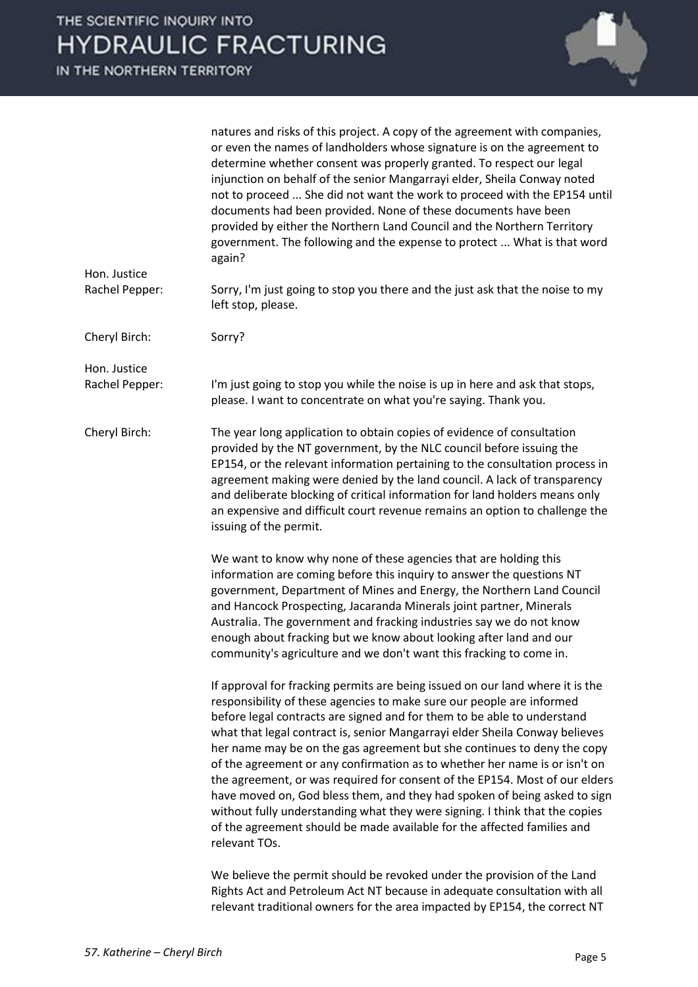

|                                | natures and risks of this project. A copy of the agreement with companies,<br>or even the names of landholders whose signature is on the agreement to<br>determine whether consent was properly granted. To respect our legal<br>injunction on behalf of the senior Mangarrayi elder, Sheila Conway noted<br>not to proceed  She did not want the work to proceed with the EP154 until<br>documents had been provided. None of these documents have been<br>provided by either the Northern Land Council and the Northern Territory<br>government. The following and the expense to protect  What is that word<br>again?                                                                                                                                                                                         |
|--------------------------------|------------------------------------------------------------------------------------------------------------------------------------------------------------------------------------------------------------------------------------------------------------------------------------------------------------------------------------------------------------------------------------------------------------------------------------------------------------------------------------------------------------------------------------------------------------------------------------------------------------------------------------------------------------------------------------------------------------------------------------------------------------------------------------------------------------------|
| Hon. Justice<br>Rachel Pepper: | Sorry, I'm just going to stop you there and the just ask that the noise to my<br>left stop, please.                                                                                                                                                                                                                                                                                                                                                                                                                                                                                                                                                                                                                                                                                                              |
| Cheryl Birch:                  | Sorry?                                                                                                                                                                                                                                                                                                                                                                                                                                                                                                                                                                                                                                                                                                                                                                                                           |
| Hon. Justice<br>Rachel Pepper: | I'm just going to stop you while the noise is up in here and ask that stops,<br>please. I want to concentrate on what you're saying. Thank you.                                                                                                                                                                                                                                                                                                                                                                                                                                                                                                                                                                                                                                                                  |
| Cheryl Birch:                  | The year long application to obtain copies of evidence of consultation<br>provided by the NT government, by the NLC council before issuing the<br>EP154, or the relevant information pertaining to the consultation process in<br>agreement making were denied by the land council. A lack of transparency<br>and deliberate blocking of critical information for land holders means only<br>an expensive and difficult court revenue remains an option to challenge the<br>issuing of the permit.                                                                                                                                                                                                                                                                                                               |
|                                | We want to know why none of these agencies that are holding this<br>information are coming before this inquiry to answer the questions NT<br>government, Department of Mines and Energy, the Northern Land Council<br>and Hancock Prospecting, Jacaranda Minerals joint partner, Minerals<br>Australia. The government and fracking industries say we do not know<br>enough about fracking but we know about looking after land and our<br>community's agriculture and we don't want this fracking to come in.                                                                                                                                                                                                                                                                                                   |
|                                | If approval for fracking permits are being issued on our land where it is the<br>responsibility of these agencies to make sure our people are informed<br>before legal contracts are signed and for them to be able to understand<br>what that legal contract is, senior Mangarrayi elder Sheila Conway believes<br>her name may be on the gas agreement but she continues to deny the copy<br>of the agreement or any confirmation as to whether her name is or isn't on<br>the agreement, or was required for consent of the EP154. Most of our elders<br>have moved on, God bless them, and they had spoken of being asked to sign<br>without fully understanding what they were signing. I think that the copies<br>of the agreement should be made available for the affected families and<br>relevant TOs. |
|                                | We believe the permit should be revoked under the provision of the Land<br>Rights Act and Petroleum Act NT because in adequate consultation with all                                                                                                                                                                                                                                                                                                                                                                                                                                                                                                                                                                                                                                                             |

relevant traditional owners for the area impacted by EP154, the correct NT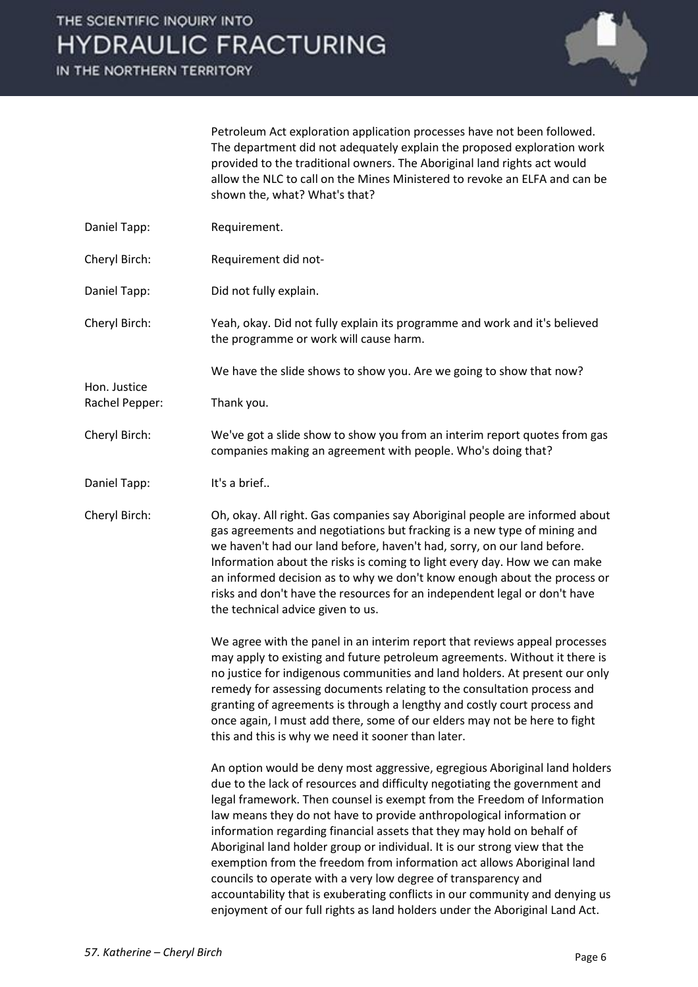IN THE NORTHERN TERRITORY



Petroleum Act exploration application processes have not been followed. The department did not adequately explain the proposed exploration work provided to the traditional owners. The Aboriginal land rights act would allow the NLC to call on the Mines Ministered to revoke an ELFA and can be shown the, what? What's that?

- Daniel Tapp: Requirement.
- Cheryl Birch: Requirement did not-
- Daniel Tapp: Did not fully explain.

Cheryl Birch: Yeah, okay. Did not fully explain its programme and work and it's believed the programme or work will cause harm.

We have the slide shows to show you. Are we going to show that now?

Rachel Pepper: Thank you.

Hon. Justice

Cheryl Birch: We've got a slide show to show you from an interim report quotes from gas companies making an agreement with people. Who's doing that?

Daniel Tapp: It's a brief..

Cheryl Birch: Oh, okay. All right. Gas companies say Aboriginal people are informed about gas agreements and negotiations but fracking is a new type of mining and we haven't had our land before, haven't had, sorry, on our land before. Information about the risks is coming to light every day. How we can make an informed decision as to why we don't know enough about the process or risks and don't have the resources for an independent legal or don't have the technical advice given to us.

> We agree with the panel in an interim report that reviews appeal processes may apply to existing and future petroleum agreements. Without it there is no justice for indigenous communities and land holders. At present our only remedy for assessing documents relating to the consultation process and granting of agreements is through a lengthy and costly court process and once again, I must add there, some of our elders may not be here to fight this and this is why we need it sooner than later.

> An option would be deny most aggressive, egregious Aboriginal land holders due to the lack of resources and difficulty negotiating the government and legal framework. Then counsel is exempt from the Freedom of Information law means they do not have to provide anthropological information or information regarding financial assets that they may hold on behalf of Aboriginal land holder group or individual. It is our strong view that the exemption from the freedom from information act allows Aboriginal land councils to operate with a very low degree of transparency and accountability that is exuberating conflicts in our community and denying us enjoyment of our full rights as land holders under the Aboriginal Land Act.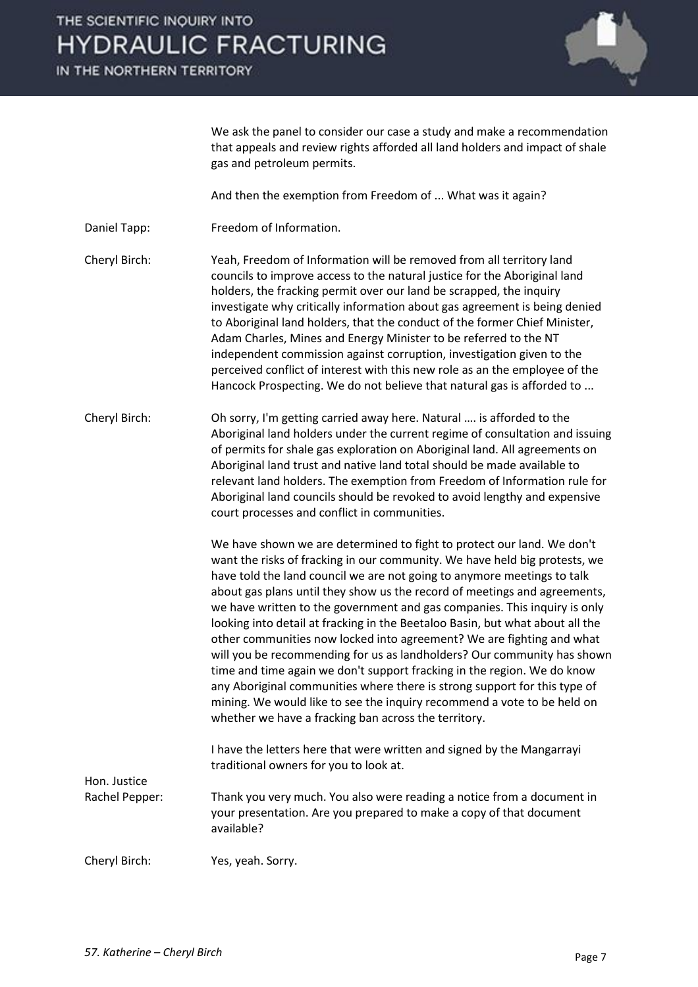IN THE NORTHERN TERRITORY



We ask the panel to consider our case a study and make a recommendation that appeals and review rights afforded all land holders and impact of shale gas and petroleum permits.

And then the exemption from Freedom of ... What was it again?

Daniel Tapp: Freedom of Information.

Cheryl Birch: Yeah, Freedom of Information will be removed from all territory land councils to improve access to the natural justice for the Aboriginal land holders, the fracking permit over our land be scrapped, the inquiry investigate why critically information about gas agreement is being denied to Aboriginal land holders, that the conduct of the former Chief Minister, Adam Charles, Mines and Energy Minister to be referred to the NT independent commission against corruption, investigation given to the perceived conflict of interest with this new role as an the employee of the Hancock Prospecting. We do not believe that natural gas is afforded to ...

Cheryl Birch: Oh sorry, I'm getting carried away here. Natural …. is afforded to the Aboriginal land holders under the current regime of consultation and issuing of permits for shale gas exploration on Aboriginal land. All agreements on Aboriginal land trust and native land total should be made available to relevant land holders. The exemption from Freedom of Information rule for Aboriginal land councils should be revoked to avoid lengthy and expensive court processes and conflict in communities.

> We have shown we are determined to fight to protect our land. We don't want the risks of fracking in our community. We have held big protests, we have told the land council we are not going to anymore meetings to talk about gas plans until they show us the record of meetings and agreements, we have written to the government and gas companies. This inquiry is only looking into detail at fracking in the Beetaloo Basin, but what about all the other communities now locked into agreement? We are fighting and what will you be recommending for us as landholders? Our community has shown time and time again we don't support fracking in the region. We do know any Aboriginal communities where there is strong support for this type of mining. We would like to see the inquiry recommend a vote to be held on whether we have a fracking ban across the territory.

I have the letters here that were written and signed by the Mangarrayi traditional owners for you to look at.

Rachel Pepper: Thank you very much. You also were reading a notice from a document in your presentation. Are you prepared to make a copy of that document available?

Cheryl Birch: Yes, yeah. Sorry.

Hon. Justice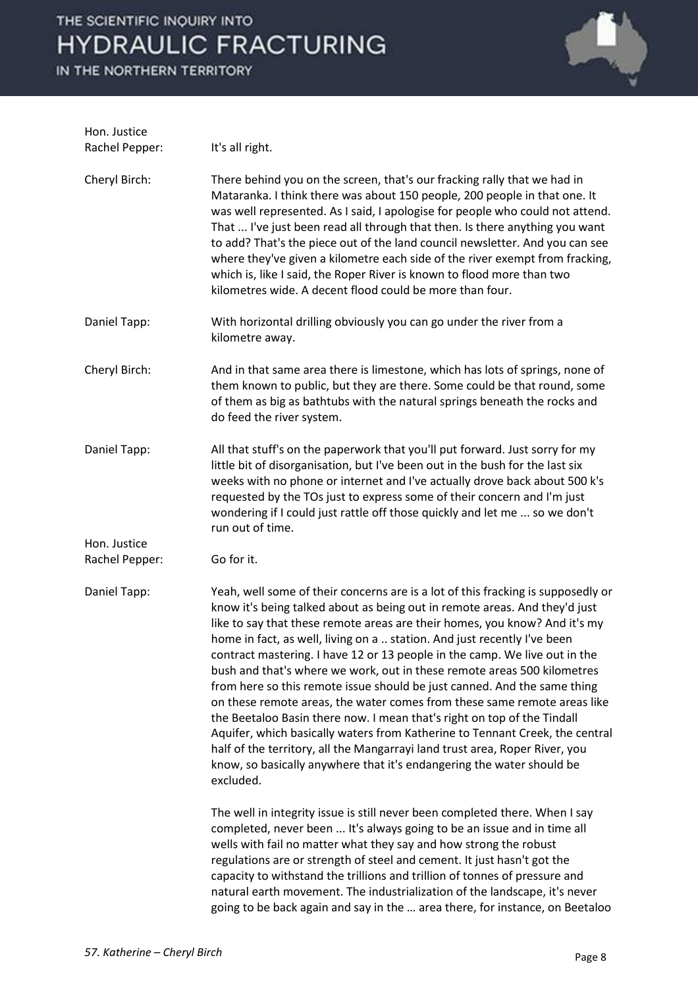

| Hon. Justice<br>Rachel Pepper: | It's all right.                                                                                                                                                                                                                                                                                                                                                                                                                                                                                                                                                                                                                                                                                                                                                                                                                                                                                                                                                           |
|--------------------------------|---------------------------------------------------------------------------------------------------------------------------------------------------------------------------------------------------------------------------------------------------------------------------------------------------------------------------------------------------------------------------------------------------------------------------------------------------------------------------------------------------------------------------------------------------------------------------------------------------------------------------------------------------------------------------------------------------------------------------------------------------------------------------------------------------------------------------------------------------------------------------------------------------------------------------------------------------------------------------|
| Cheryl Birch:                  | There behind you on the screen, that's our fracking rally that we had in<br>Mataranka. I think there was about 150 people, 200 people in that one. It<br>was well represented. As I said, I apologise for people who could not attend.<br>That  I've just been read all through that then. Is there anything you want<br>to add? That's the piece out of the land council newsletter. And you can see<br>where they've given a kilometre each side of the river exempt from fracking,<br>which is, like I said, the Roper River is known to flood more than two<br>kilometres wide. A decent flood could be more than four.                                                                                                                                                                                                                                                                                                                                               |
| Daniel Tapp:                   | With horizontal drilling obviously you can go under the river from a<br>kilometre away.                                                                                                                                                                                                                                                                                                                                                                                                                                                                                                                                                                                                                                                                                                                                                                                                                                                                                   |
| Cheryl Birch:                  | And in that same area there is limestone, which has lots of springs, none of<br>them known to public, but they are there. Some could be that round, some<br>of them as big as bathtubs with the natural springs beneath the rocks and<br>do feed the river system.                                                                                                                                                                                                                                                                                                                                                                                                                                                                                                                                                                                                                                                                                                        |
| Daniel Tapp:                   | All that stuff's on the paperwork that you'll put forward. Just sorry for my<br>little bit of disorganisation, but I've been out in the bush for the last six<br>weeks with no phone or internet and I've actually drove back about 500 k's<br>requested by the TOs just to express some of their concern and I'm just<br>wondering if I could just rattle off those quickly and let me  so we don't<br>run out of time.                                                                                                                                                                                                                                                                                                                                                                                                                                                                                                                                                  |
| Hon. Justice                   |                                                                                                                                                                                                                                                                                                                                                                                                                                                                                                                                                                                                                                                                                                                                                                                                                                                                                                                                                                           |
| Rachel Pepper:                 | Go for it.                                                                                                                                                                                                                                                                                                                                                                                                                                                                                                                                                                                                                                                                                                                                                                                                                                                                                                                                                                |
| Daniel Tapp:                   | Yeah, well some of their concerns are is a lot of this fracking is supposedly or<br>know it's being talked about as being out in remote areas. And they'd just<br>like to say that these remote areas are their homes, you know? And it's my<br>home in fact, as well, living on a  station. And just recently I've been<br>contract mastering. I have 12 or 13 people in the camp. We live out in the<br>bush and that's where we work, out in these remote areas 500 kilometres<br>from here so this remote issue should be just canned. And the same thing<br>on these remote areas, the water comes from these same remote areas like<br>the Beetaloo Basin there now. I mean that's right on top of the Tindall<br>Aquifer, which basically waters from Katherine to Tennant Creek, the central<br>half of the territory, all the Mangarrayi land trust area, Roper River, you<br>know, so basically anywhere that it's endangering the water should be<br>excluded. |
|                                | The well in integrity issue is still never been completed there. When I say<br>completed, never been  It's always going to be an issue and in time all<br>wells with fail no matter what they say and how strong the robust<br>regulations are or strength of steel and cement. It just hasn't got the<br>capacity to withstand the trillions and trillion of tonnes of pressure and<br>natural earth movement. The industrialization of the landscape, it's never<br>going to be back again and say in the  area there, for instance, on Beetaloo                                                                                                                                                                                                                                                                                                                                                                                                                        |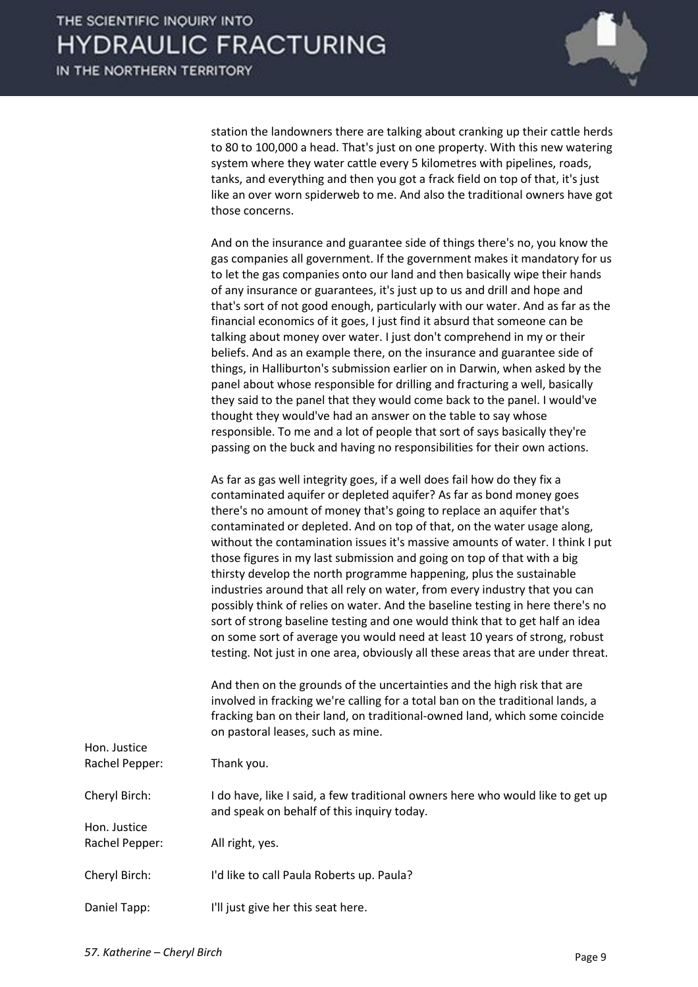

station the landowners there are talking about cranking up their cattle herds to 80 to 100,000 a head. That's just on one property. With this new watering system where they water cattle every 5 kilometres with pipelines, roads, tanks, and everything and then you got a frack field on top of that, it's just like an over worn spiderweb to me. And also the traditional owners have got those concerns.

And on the insurance and guarantee side of things there's no, you know the gas companies all government. If the government makes it mandatory for us to let the gas companies onto our land and then basically wipe their hands of any insurance or guarantees, it's just up to us and drill and hope and that's sort of not good enough, particularly with our water. And as far as the financial economics of it goes, I just find it absurd that someone can be talking about money over water. I just don't comprehend in my or their beliefs. And as an example there, on the insurance and guarantee side of things, in Halliburton's submission earlier on in Darwin, when asked by the panel about whose responsible for drilling and fracturing a well, basically they said to the panel that they would come back to the panel. I would've thought they would've had an answer on the table to say whose responsible. To me and a lot of people that sort of says basically they're passing on the buck and having no responsibilities for their own actions.

As far as gas well integrity goes, if a well does fail how do they fix a contaminated aquifer or depleted aquifer? As far as bond money goes there's no amount of money that's going to replace an aquifer that's contaminated or depleted. And on top of that, on the water usage along, without the contamination issues it's massive amounts of water. I think I put those figures in my last submission and going on top of that with a big thirsty develop the north programme happening, plus the sustainable industries around that all rely on water, from every industry that you can possibly think of relies on water. And the baseline testing in here there's no sort of strong baseline testing and one would think that to get half an idea on some sort of average you would need at least 10 years of strong, robust testing. Not just in one area, obviously all these areas that are under threat.

And then on the grounds of the uncertainties and the high risk that are involved in fracking we're calling for a total ban on the traditional lands, a fracking ban on their land, on traditional-owned land, which some coincide on pastoral leases, such as mine.

| Hon. Justice<br>Rachel Pepper: | Thank you.                                                                                                                   |
|--------------------------------|------------------------------------------------------------------------------------------------------------------------------|
| Cheryl Birch:                  | I do have, like I said, a few traditional owners here who would like to get up<br>and speak on behalf of this inquiry today. |
| Hon. Justice                   |                                                                                                                              |
| Rachel Pepper:                 | All right, yes.                                                                                                              |
| Cheryl Birch:                  | I'd like to call Paula Roberts up. Paula?                                                                                    |
| Daniel Tapp:                   | I'll just give her this seat here.                                                                                           |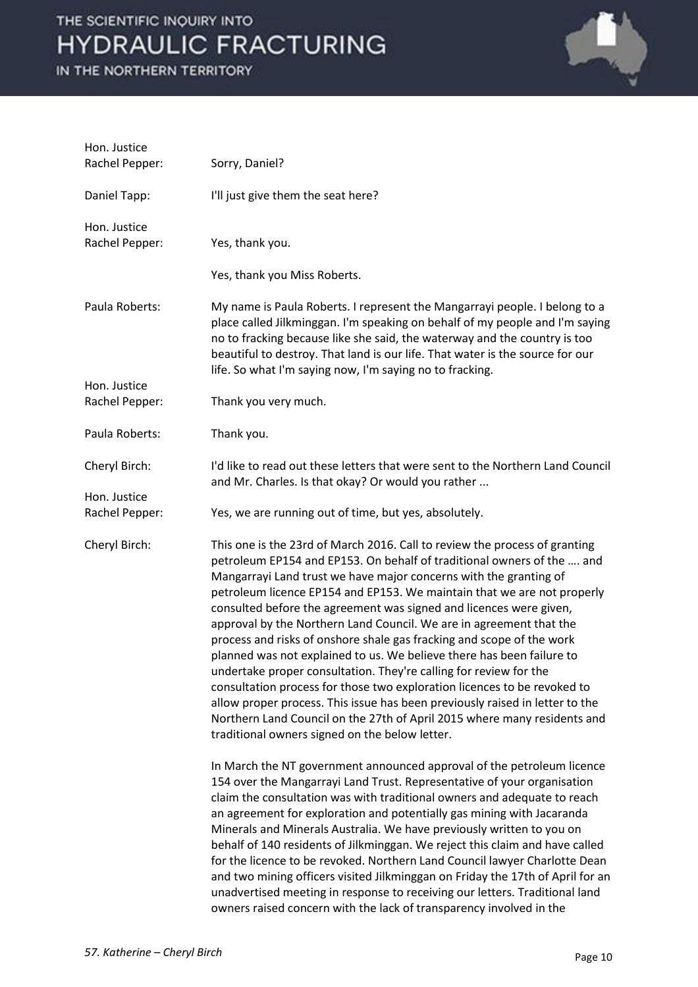| Hon. Justice<br>Rachel Pepper: | Sorry, Daniel?                                                                                                                                                                                                                                                                                                                                                                                                                                                                                                                                                                                                                                                                                                                                                                                                                                                                                                                                                     |
|--------------------------------|--------------------------------------------------------------------------------------------------------------------------------------------------------------------------------------------------------------------------------------------------------------------------------------------------------------------------------------------------------------------------------------------------------------------------------------------------------------------------------------------------------------------------------------------------------------------------------------------------------------------------------------------------------------------------------------------------------------------------------------------------------------------------------------------------------------------------------------------------------------------------------------------------------------------------------------------------------------------|
| Daniel Tapp:                   | I'll just give them the seat here?                                                                                                                                                                                                                                                                                                                                                                                                                                                                                                                                                                                                                                                                                                                                                                                                                                                                                                                                 |
| Hon. Justice                   |                                                                                                                                                                                                                                                                                                                                                                                                                                                                                                                                                                                                                                                                                                                                                                                                                                                                                                                                                                    |
| Rachel Pepper:                 | Yes, thank you.                                                                                                                                                                                                                                                                                                                                                                                                                                                                                                                                                                                                                                                                                                                                                                                                                                                                                                                                                    |
|                                | Yes, thank you Miss Roberts.                                                                                                                                                                                                                                                                                                                                                                                                                                                                                                                                                                                                                                                                                                                                                                                                                                                                                                                                       |
| Paula Roberts:                 | My name is Paula Roberts. I represent the Mangarrayi people. I belong to a<br>place called Jilkminggan. I'm speaking on behalf of my people and I'm saying<br>no to fracking because like she said, the waterway and the country is too<br>beautiful to destroy. That land is our life. That water is the source for our<br>life. So what I'm saying now, I'm saying no to fracking.                                                                                                                                                                                                                                                                                                                                                                                                                                                                                                                                                                               |
| Hon. Justice                   |                                                                                                                                                                                                                                                                                                                                                                                                                                                                                                                                                                                                                                                                                                                                                                                                                                                                                                                                                                    |
| Rachel Pepper:                 | Thank you very much.                                                                                                                                                                                                                                                                                                                                                                                                                                                                                                                                                                                                                                                                                                                                                                                                                                                                                                                                               |
| Paula Roberts:                 | Thank you.                                                                                                                                                                                                                                                                                                                                                                                                                                                                                                                                                                                                                                                                                                                                                                                                                                                                                                                                                         |
| Cheryl Birch:                  | I'd like to read out these letters that were sent to the Northern Land Council<br>and Mr. Charles. Is that okay? Or would you rather                                                                                                                                                                                                                                                                                                                                                                                                                                                                                                                                                                                                                                                                                                                                                                                                                               |
| Hon. Justice                   |                                                                                                                                                                                                                                                                                                                                                                                                                                                                                                                                                                                                                                                                                                                                                                                                                                                                                                                                                                    |
| Rachel Pepper:                 | Yes, we are running out of time, but yes, absolutely.                                                                                                                                                                                                                                                                                                                                                                                                                                                                                                                                                                                                                                                                                                                                                                                                                                                                                                              |
| Cheryl Birch:                  | This one is the 23rd of March 2016. Call to review the process of granting<br>petroleum EP154 and EP153. On behalf of traditional owners of the  and<br>Mangarrayi Land trust we have major concerns with the granting of<br>petroleum licence EP154 and EP153. We maintain that we are not properly<br>consulted before the agreement was signed and licences were given,<br>approval by the Northern Land Council. We are in agreement that the<br>process and risks of onshore shale gas fracking and scope of the work<br>planned was not explained to us. We believe there has been failure to<br>undertake proper consultation. They're calling for review for the<br>consultation process for those two exploration licences to be revoked to<br>allow proper process. This issue has been previously raised in letter to the<br>Northern Land Council on the 27th of April 2015 where many residents and<br>traditional owners signed on the below letter. |
|                                | In March the NT government announced approval of the petroleum licence<br>154 over the Mangarrayi Land Trust. Representative of your organisation<br>claim the consultation was with traditional owners and adequate to reach<br>an agreement for exploration and potentially gas mining with Jacaranda<br>Minerals and Minerals Australia. We have previously written to you on<br>behalf of 140 residents of Jilkminggan. We reject this claim and have called<br>for the licence to be revoked. Northern Land Council lawyer Charlotte Dean<br>and two mining officers visited Jilkminggan on Friday the 17th of April for an<br>unadvertised meeting in response to receiving our letters. Traditional land<br>owners raised concern with the lack of transparency involved in the                                                                                                                                                                             |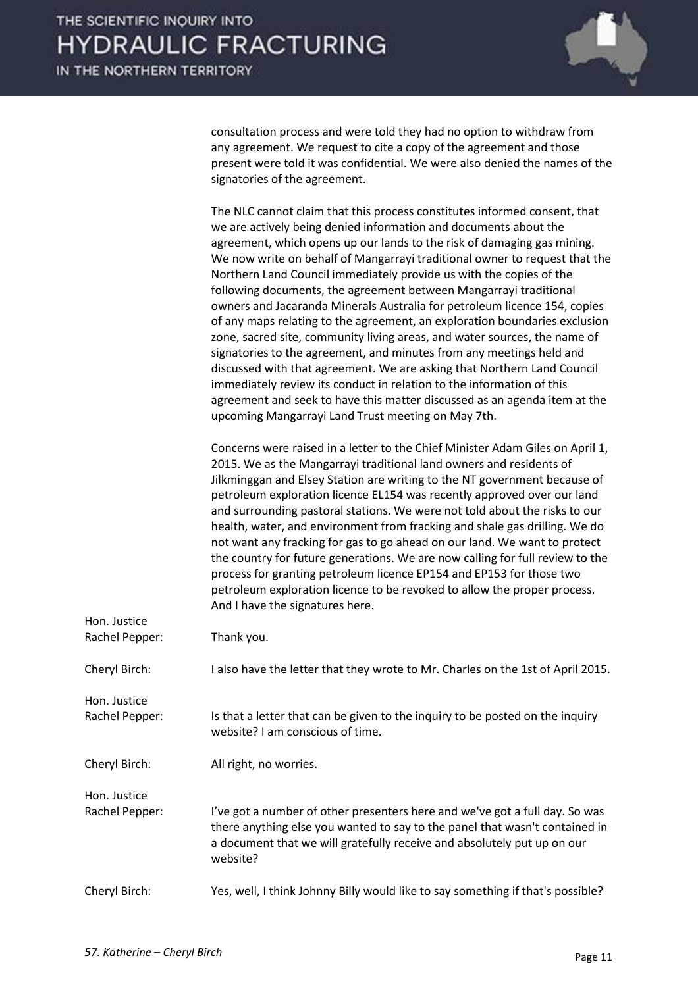

consultation process and were told they had no option to withdraw from any agreement. We request to cite a copy of the agreement and those present were told it was confidential. We were also denied the names of the signatories of the agreement.

|                                | The NLC cannot claim that this process constitutes informed consent, that<br>we are actively being denied information and documents about the<br>agreement, which opens up our lands to the risk of damaging gas mining.<br>We now write on behalf of Mangarrayi traditional owner to request that the<br>Northern Land Council immediately provide us with the copies of the<br>following documents, the agreement between Mangarrayi traditional<br>owners and Jacaranda Minerals Australia for petroleum licence 154, copies<br>of any maps relating to the agreement, an exploration boundaries exclusion<br>zone, sacred site, community living areas, and water sources, the name of<br>signatories to the agreement, and minutes from any meetings held and<br>discussed with that agreement. We are asking that Northern Land Council<br>immediately review its conduct in relation to the information of this<br>agreement and seek to have this matter discussed as an agenda item at the<br>upcoming Mangarrayi Land Trust meeting on May 7th. |
|--------------------------------|-----------------------------------------------------------------------------------------------------------------------------------------------------------------------------------------------------------------------------------------------------------------------------------------------------------------------------------------------------------------------------------------------------------------------------------------------------------------------------------------------------------------------------------------------------------------------------------------------------------------------------------------------------------------------------------------------------------------------------------------------------------------------------------------------------------------------------------------------------------------------------------------------------------------------------------------------------------------------------------------------------------------------------------------------------------|
|                                | Concerns were raised in a letter to the Chief Minister Adam Giles on April 1,<br>2015. We as the Mangarrayi traditional land owners and residents of<br>Jilkminggan and Elsey Station are writing to the NT government because of<br>petroleum exploration licence EL154 was recently approved over our land<br>and surrounding pastoral stations. We were not told about the risks to our<br>health, water, and environment from fracking and shale gas drilling. We do<br>not want any fracking for gas to go ahead on our land. We want to protect<br>the country for future generations. We are now calling for full review to the<br>process for granting petroleum licence EP154 and EP153 for those two<br>petroleum exploration licence to be revoked to allow the proper process.<br>And I have the signatures here.                                                                                                                                                                                                                             |
| Hon. Justice<br>Rachel Pepper: | Thank you.                                                                                                                                                                                                                                                                                                                                                                                                                                                                                                                                                                                                                                                                                                                                                                                                                                                                                                                                                                                                                                                |
| Cheryl Birch:                  | I also have the letter that they wrote to Mr. Charles on the 1st of April 2015.                                                                                                                                                                                                                                                                                                                                                                                                                                                                                                                                                                                                                                                                                                                                                                                                                                                                                                                                                                           |
| Hon. Justice<br>Rachel Pepper: | Is that a letter that can be given to the inquiry to be posted on the inquiry<br>website? I am conscious of time.                                                                                                                                                                                                                                                                                                                                                                                                                                                                                                                                                                                                                                                                                                                                                                                                                                                                                                                                         |
| Cheryl Birch:                  | All right, no worries.                                                                                                                                                                                                                                                                                                                                                                                                                                                                                                                                                                                                                                                                                                                                                                                                                                                                                                                                                                                                                                    |
| Hon. Justice<br>Rachel Pepper: | I've got a number of other presenters here and we've got a full day. So was<br>there anything else you wanted to say to the panel that wasn't contained in<br>a document that we will gratefully receive and absolutely put up on our<br>website?                                                                                                                                                                                                                                                                                                                                                                                                                                                                                                                                                                                                                                                                                                                                                                                                         |
| Cheryl Birch:                  | Yes, well, I think Johnny Billy would like to say something if that's possible?                                                                                                                                                                                                                                                                                                                                                                                                                                                                                                                                                                                                                                                                                                                                                                                                                                                                                                                                                                           |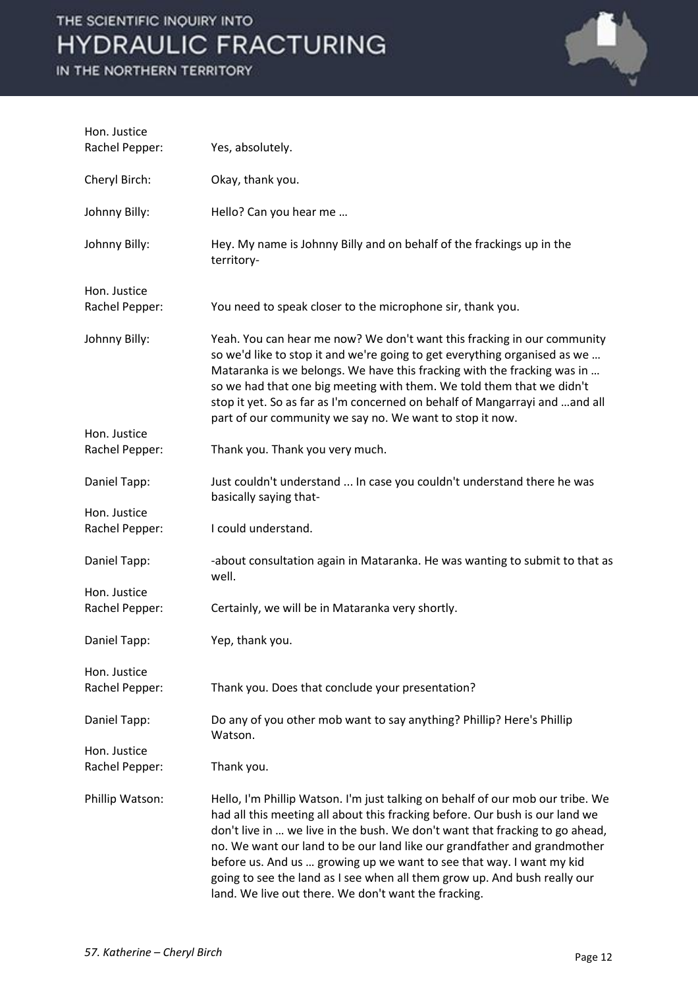

| Hon. Justice<br>Rachel Pepper: | Yes, absolutely.                                                                                                                                                                                                                                                                                                                                                                                                                                                                                                                        |
|--------------------------------|-----------------------------------------------------------------------------------------------------------------------------------------------------------------------------------------------------------------------------------------------------------------------------------------------------------------------------------------------------------------------------------------------------------------------------------------------------------------------------------------------------------------------------------------|
| Cheryl Birch:                  | Okay, thank you.                                                                                                                                                                                                                                                                                                                                                                                                                                                                                                                        |
| Johnny Billy:                  | Hello? Can you hear me                                                                                                                                                                                                                                                                                                                                                                                                                                                                                                                  |
| Johnny Billy:                  | Hey. My name is Johnny Billy and on behalf of the frackings up in the<br>territory-                                                                                                                                                                                                                                                                                                                                                                                                                                                     |
| Hon. Justice<br>Rachel Pepper: | You need to speak closer to the microphone sir, thank you.                                                                                                                                                                                                                                                                                                                                                                                                                                                                              |
| Johnny Billy:                  | Yeah. You can hear me now? We don't want this fracking in our community<br>so we'd like to stop it and we're going to get everything organised as we<br>Mataranka is we belongs. We have this fracking with the fracking was in<br>so we had that one big meeting with them. We told them that we didn't<br>stop it yet. So as far as I'm concerned on behalf of Mangarrayi and and all<br>part of our community we say no. We want to stop it now.                                                                                     |
| Hon. Justice<br>Rachel Pepper: | Thank you. Thank you very much.                                                                                                                                                                                                                                                                                                                                                                                                                                                                                                         |
| Daniel Tapp:                   | Just couldn't understand  In case you couldn't understand there he was<br>basically saying that-                                                                                                                                                                                                                                                                                                                                                                                                                                        |
| Hon. Justice<br>Rachel Pepper: | I could understand.                                                                                                                                                                                                                                                                                                                                                                                                                                                                                                                     |
| Daniel Tapp:                   | -about consultation again in Mataranka. He was wanting to submit to that as<br>well.                                                                                                                                                                                                                                                                                                                                                                                                                                                    |
| Hon. Justice<br>Rachel Pepper: | Certainly, we will be in Mataranka very shortly.                                                                                                                                                                                                                                                                                                                                                                                                                                                                                        |
| Daniel Tapp:                   | Yep, thank you.                                                                                                                                                                                                                                                                                                                                                                                                                                                                                                                         |
| Hon. Justice<br>Rachel Pepper: | Thank you. Does that conclude your presentation?                                                                                                                                                                                                                                                                                                                                                                                                                                                                                        |
| Daniel Tapp:                   | Do any of you other mob want to say anything? Phillip? Here's Phillip<br>Watson.                                                                                                                                                                                                                                                                                                                                                                                                                                                        |
| Hon. Justice<br>Rachel Pepper: | Thank you.                                                                                                                                                                                                                                                                                                                                                                                                                                                                                                                              |
| Phillip Watson:                | Hello, I'm Phillip Watson. I'm just talking on behalf of our mob our tribe. We<br>had all this meeting all about this fracking before. Our bush is our land we<br>don't live in  we live in the bush. We don't want that fracking to go ahead,<br>no. We want our land to be our land like our grandfather and grandmother<br>before us. And us  growing up we want to see that way. I want my kid<br>going to see the land as I see when all them grow up. And bush really our<br>land. We live out there. We don't want the fracking. |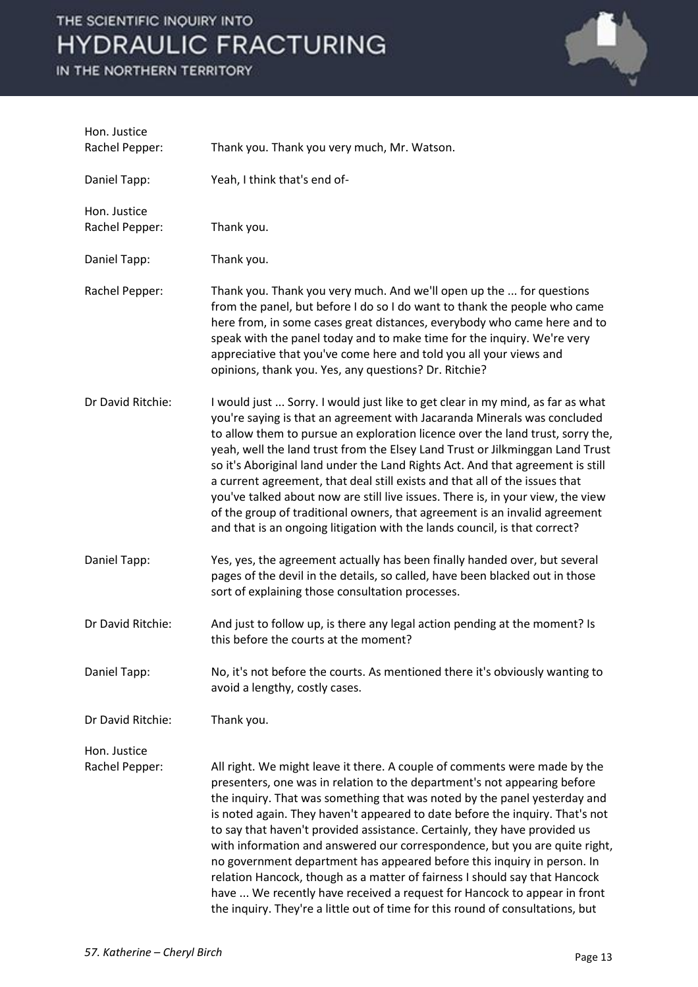

| Hon. Justice<br>Rachel Pepper: | Thank you. Thank you very much, Mr. Watson.                                                                                                                                                                                                                                                                                                                                                                                                                                                                                                                                                                                                                                                                                                                                                          |
|--------------------------------|------------------------------------------------------------------------------------------------------------------------------------------------------------------------------------------------------------------------------------------------------------------------------------------------------------------------------------------------------------------------------------------------------------------------------------------------------------------------------------------------------------------------------------------------------------------------------------------------------------------------------------------------------------------------------------------------------------------------------------------------------------------------------------------------------|
| Daniel Tapp:                   | Yeah, I think that's end of-                                                                                                                                                                                                                                                                                                                                                                                                                                                                                                                                                                                                                                                                                                                                                                         |
| Hon. Justice<br>Rachel Pepper: | Thank you.                                                                                                                                                                                                                                                                                                                                                                                                                                                                                                                                                                                                                                                                                                                                                                                           |
| Daniel Tapp:                   | Thank you.                                                                                                                                                                                                                                                                                                                                                                                                                                                                                                                                                                                                                                                                                                                                                                                           |
| Rachel Pepper:                 | Thank you. Thank you very much. And we'll open up the  for questions<br>from the panel, but before I do so I do want to thank the people who came<br>here from, in some cases great distances, everybody who came here and to<br>speak with the panel today and to make time for the inquiry. We're very<br>appreciative that you've come here and told you all your views and<br>opinions, thank you. Yes, any questions? Dr. Ritchie?                                                                                                                                                                                                                                                                                                                                                              |
| Dr David Ritchie:              | I would just  Sorry. I would just like to get clear in my mind, as far as what<br>you're saying is that an agreement with Jacaranda Minerals was concluded<br>to allow them to pursue an exploration licence over the land trust, sorry the,<br>yeah, well the land trust from the Elsey Land Trust or Jilkminggan Land Trust<br>so it's Aboriginal land under the Land Rights Act. And that agreement is still<br>a current agreement, that deal still exists and that all of the issues that<br>you've talked about now are still live issues. There is, in your view, the view<br>of the group of traditional owners, that agreement is an invalid agreement<br>and that is an ongoing litigation with the lands council, is that correct?                                                        |
| Daniel Tapp:                   | Yes, yes, the agreement actually has been finally handed over, but several<br>pages of the devil in the details, so called, have been blacked out in those<br>sort of explaining those consultation processes.                                                                                                                                                                                                                                                                                                                                                                                                                                                                                                                                                                                       |
| Dr David Ritchie:              | And just to follow up, is there any legal action pending at the moment? Is<br>this before the courts at the moment?                                                                                                                                                                                                                                                                                                                                                                                                                                                                                                                                                                                                                                                                                  |
| Daniel Tapp:                   | No, it's not before the courts. As mentioned there it's obviously wanting to<br>avoid a lengthy, costly cases.                                                                                                                                                                                                                                                                                                                                                                                                                                                                                                                                                                                                                                                                                       |
| Dr David Ritchie:              | Thank you.                                                                                                                                                                                                                                                                                                                                                                                                                                                                                                                                                                                                                                                                                                                                                                                           |
| Hon. Justice<br>Rachel Pepper: | All right. We might leave it there. A couple of comments were made by the<br>presenters, one was in relation to the department's not appearing before<br>the inquiry. That was something that was noted by the panel yesterday and<br>is noted again. They haven't appeared to date before the inquiry. That's not<br>to say that haven't provided assistance. Certainly, they have provided us<br>with information and answered our correspondence, but you are quite right,<br>no government department has appeared before this inquiry in person. In<br>relation Hancock, though as a matter of fairness I should say that Hancock<br>have  We recently have received a request for Hancock to appear in front<br>the inquiry. They're a little out of time for this round of consultations, but |